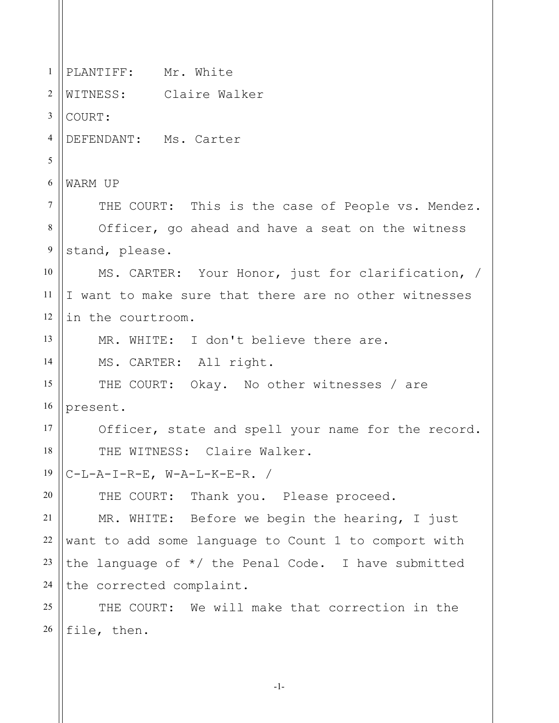| 1                | PLANTIFF: Mr. White                                   |
|------------------|-------------------------------------------------------|
| $\overline{2}$   | WITNESS: Claire Walker                                |
| 3                | COURT:                                                |
| 4                | DEFENDANT: Ms. Carter                                 |
| 5                |                                                       |
| 6                | WARM UP                                               |
| $\overline{7}$   | THE COURT: This is the case of People vs. Mendez.     |
| $8\,$            | Officer, go ahead and have a seat on the witness      |
| $\boldsymbol{9}$ | stand, please.                                        |
| 10               | MS. CARTER: Your Honor, just for clarification, /     |
| 11               | I want to make sure that there are no other witnesses |
| 12               | in the courtroom.                                     |
| 13               | MR. WHITE: I don't believe there are.                 |
| 14               | MS. CARTER: All right.                                |
| 15               | THE COURT: Okay. No other witnesses / are             |
| 16               | present.                                              |
| 17               | Officer, state and spell your name for the record.    |
| 18               | THE WITNESS: Claire Walker.                           |
| 19               | $C-L-A-I-R-E, W-A-L-K-E-R.$ /                         |
| 20               | THE COURT: Thank you. Please proceed.                 |
| 21               | MR. WHITE: Before we begin the hearing, I just        |
| 22               | want to add some language to Count 1 to comport with  |
| 23               | the language of $*/$ the Penal Code. I have submitted |
| 24               | the corrected complaint.                              |
| 25               | THE COURT: We will make that correction in the        |
| 26               | file, then.                                           |

-1-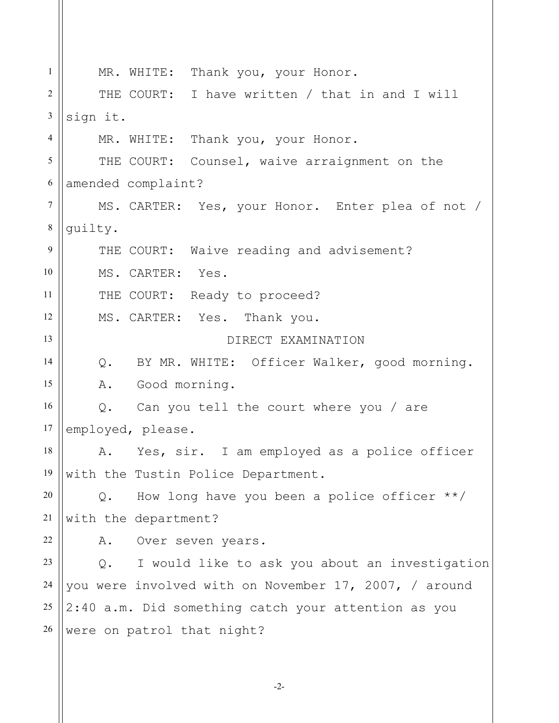| $\mathbf{1}$   | MR. WHITE: Thank you, your Honor.                     |
|----------------|-------------------------------------------------------|
| $\overline{2}$ | THE COURT: I have written / that in and I will        |
| $\mathfrak{Z}$ | sign it.                                              |
| 4              | MR. WHITE: Thank you, your Honor.                     |
| 5              | THE COURT: Counsel, waive arraignment on the          |
| 6              | amended complaint?                                    |
| $\overline{7}$ | MS. CARTER: Yes, your Honor. Enter plea of not /      |
| $\,8\,$        | guilty.                                               |
| 9              | THE COURT: Waive reading and advisement?              |
| 10             | MS. CARTER: Yes.                                      |
| 11             | THE COURT: Ready to proceed?                          |
| 12             | MS. CARTER: Yes. Thank you.                           |
| 13             | DIRECT EXAMINATION                                    |
| 14             | Q. BY MR. WHITE: Officer Walker, good morning.        |
| 15             | A. Good morning.                                      |
| 16             | Q. Can you tell the court where you / are             |
| 17             | employed, please.                                     |
| 18             | Yes, sir. I am employed as a police officer<br>Α.     |
| 19             | with the Tustin Police Department.                    |
| 20             | How long have you been a police officer $**/$<br>Q.   |
| 21             | with the department?                                  |
| 22             | Over seven years.<br>Α.                               |
| 23             | I would like to ask you about an investigation<br>Q.  |
| 24             | you were involved with on November 17, 2007, / around |
| 25             | 2:40 a.m. Did something catch your attention as you   |
| 26             | were on patrol that night?                            |
|                |                                                       |

-2-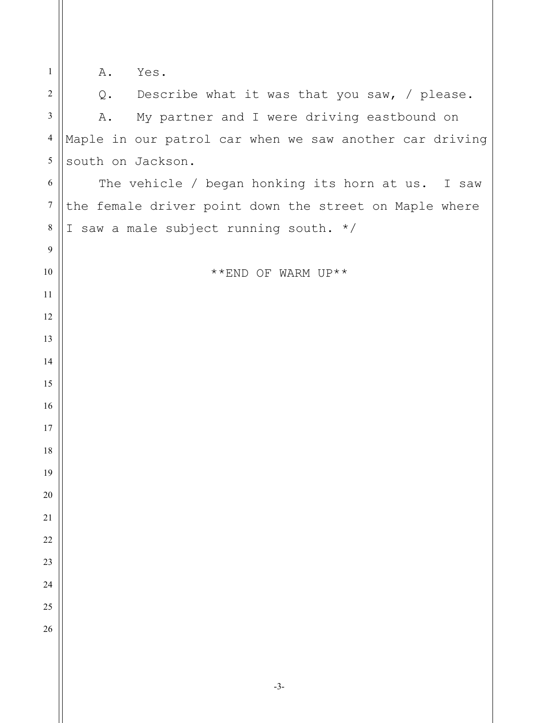| $\mathbf{1}$     | Yes.<br>Α.                                              |
|------------------|---------------------------------------------------------|
| $\sqrt{2}$       | Q. Describe what it was that you saw, / please.         |
| $\mathfrak{Z}$   | My partner and I were driving eastbound on<br>A.        |
| $\overline{4}$   | Maple in our patrol car when we saw another car driving |
| 5                | south on Jackson.                                       |
| 6                | The vehicle / began honking its horn at us. I saw       |
| $\boldsymbol{7}$ | the female driver point down the street on Maple where  |
| $\,8\,$          | I saw a male subject running south. */                  |
| $\overline{9}$   |                                                         |
| 10               | **END OF WARM UP**                                      |
| 11               |                                                         |
| 12               |                                                         |
| 13               |                                                         |
| 14               |                                                         |
| 15               |                                                         |
| 16               |                                                         |
| 17               |                                                         |
| 18               |                                                         |
| 19               |                                                         |
| $20\,$           |                                                         |
| 21               |                                                         |
| $22\,$           |                                                         |
| 23               |                                                         |
| 24               |                                                         |
| 25               |                                                         |
| 26               |                                                         |
|                  |                                                         |
|                  |                                                         |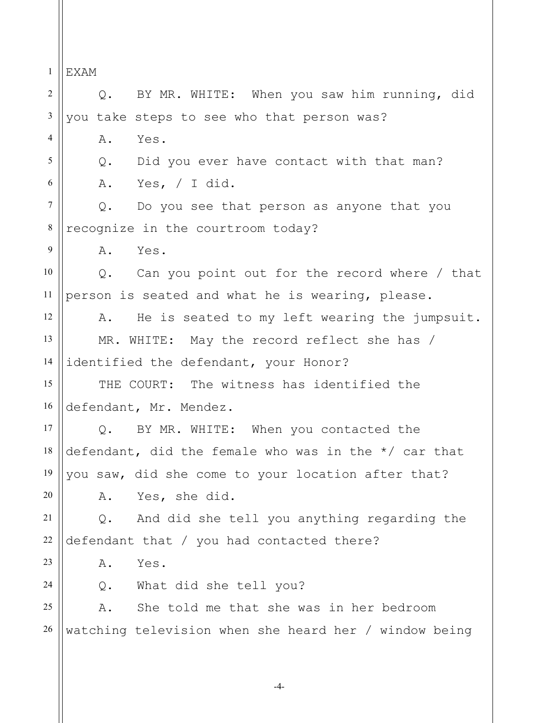1 2 3 4 5 6 7 8 9 10 11 12 13 14 15 16 17 18 19 20 21 22 23 24 25 26 EXAM Q. BY MR. WHITE: When you saw him running, did you take steps to see who that person was? A. Yes. Q. Did you ever have contact with that man? A. Yes, / I did. Q. Do you see that person as anyone that you recognize in the courtroom today? A. Yes. Q. Can you point out for the record where / that person is seated and what he is wearing, please. A. He is seated to my left wearing the jumpsuit. MR. WHITE: May the record reflect she has / identified the defendant, your Honor? THE COURT: The witness has identified the defendant, Mr. Mendez. Q. BY MR. WHITE: When you contacted the defendant, did the female who was in the \*/ car that you saw, did she come to your location after that? A. Yes, she did. Q. And did she tell you anything regarding the defendant that / you had contacted there? A. Yes. Q. What did she tell you? A. She told me that she was in her bedroom watching television when she heard her / window being

-4-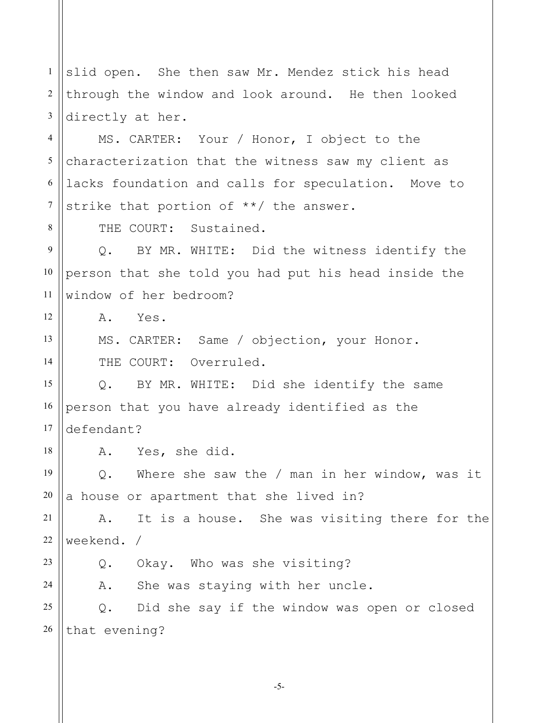1 2 3 slid open. She then saw Mr. Mendez stick his head through the window and look around. He then looked directly at her.

4 5 6 7 MS. CARTER: Your / Honor, I object to the characterization that the witness saw my client as lacks foundation and calls for speculation. Move to strike that portion of \*\*/ the answer.

THE COURT: Sustained.

9 10 11 Q. BY MR. WHITE: Did the witness identify the person that she told you had put his head inside the window of her bedroom?

A. Yes.

MS. CARTER: Same / objection, your Honor. THE COURT: Overruled.

15 16 17 Q. BY MR. WHITE: Did she identify the same person that you have already identified as the defendant?

A. Yes, she did.

19 20 Q. Where she saw the / man in her window, was it a house or apartment that she lived in?

21 22 A. It is a house. She was visiting there for the weekend. /

23

24

8

12

13

14

18

Q. Okay. Who was she visiting?

A. She was staying with her uncle.

25 26 Q. Did she say if the window was open or closed that evening?

-5-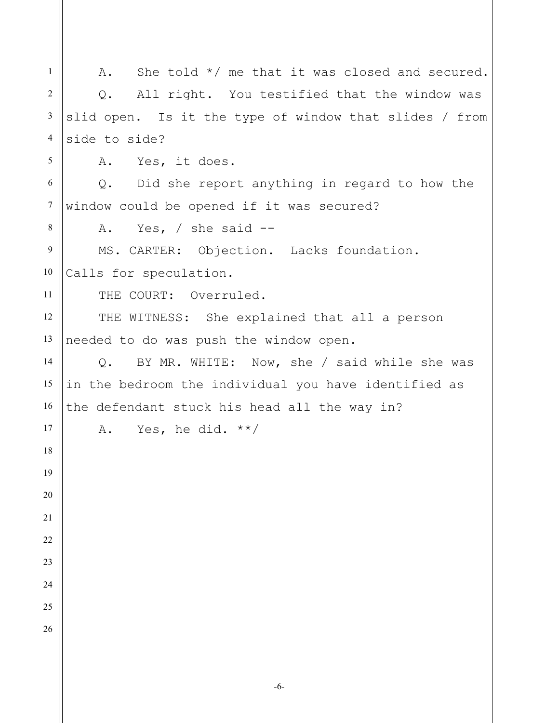1 2 3 4 5 6 7 8 9 10 11 12 13 14 15 16 17 18 19 20 21 22 23 24 25 26 A. She told  $*/$  me that it was closed and secured. Q. All right. You testified that the window was slid open. Is it the type of window that slides / from side to side? A. Yes, it does. Q. Did she report anything in regard to how the window could be opened if it was secured? A. Yes, / she said -- MS. CARTER: Objection. Lacks foundation. Calls for speculation. THE COURT: Overruled. THE WITNESS: She explained that all a person needed to do was push the window open. Q. BY MR. WHITE: Now, she / said while she was in the bedroom the individual you have identified as the defendant stuck his head all the way in? A. Yes, he did.  $**/$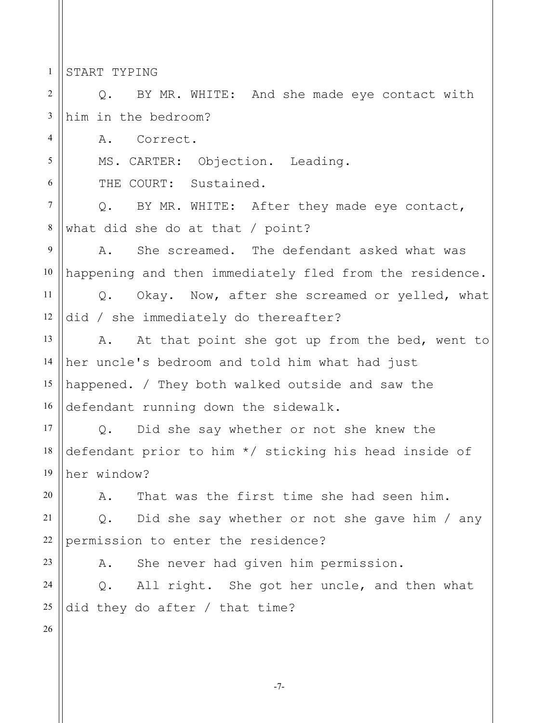1 START TYPING

4

5

6

2 3 Q. BY MR. WHITE: And she made eye contact with him in the bedroom?

A. Correct.

MS. CARTER: Objection. Leading.

THE COURT: Sustained.

7 8 Q. BY MR. WHITE: After they made eye contact, what did she do at that / point?

9 10 A. She screamed. The defendant asked what was happening and then immediately fled from the residence.

11 12 Q. Okay. Now, after she screamed or yelled, what did / she immediately do thereafter?

13 14 15 16 A. At that point she got up from the bed, went to her uncle's bedroom and told him what had just happened. / They both walked outside and saw the defendant running down the sidewalk.

17 18 19 Q. Did she say whether or not she knew the defendant prior to him \*/ sticking his head inside of her window?

A. That was the first time she had seen him.

21 22 Q. Did she say whether or not she gave him / any permission to enter the residence?

A. She never had given him permission.

24 25 Q. All right. She got her uncle, and then what did they do after / that time?

26

20

23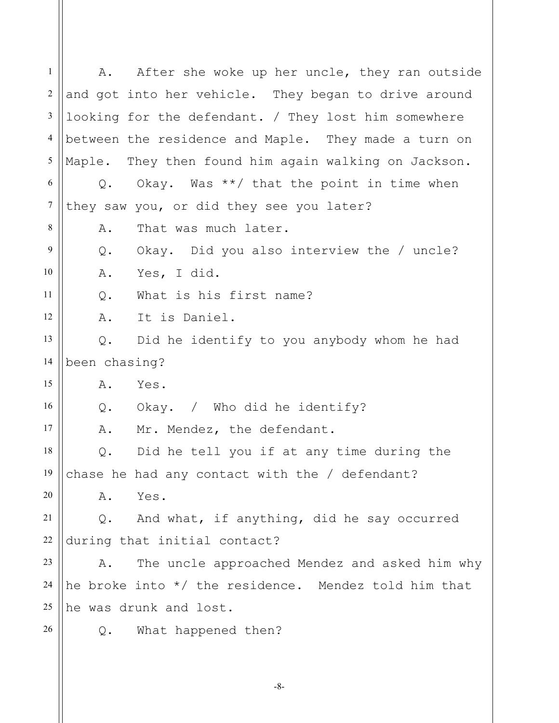1 2 3 4 5 6 7 8 9 10 11 12 13 14 15 16 17 18 19 20 21 22 23 24 25 26 A. After she woke up her uncle, they ran outside and got into her vehicle. They began to drive around looking for the defendant. / They lost him somewhere between the residence and Maple. They made a turn on Maple. They then found him again walking on Jackson. Q. Okay. Was \*\*/ that the point in time when they saw you, or did they see you later? A. That was much later. Q. Okay. Did you also interview the / uncle? A. Yes, I did. Q. What is his first name? A. It is Daniel. Q. Did he identify to you anybody whom he had been chasing? A. Yes. Q. Okay. / Who did he identify? A. Mr. Mendez, the defendant. Q. Did he tell you if at any time during the chase he had any contact with the / defendant? A. Yes. Q. And what, if anything, did he say occurred during that initial contact? A. The uncle approached Mendez and asked him why he broke into \*/ the residence. Mendez told him that he was drunk and lost. Q. What happened then?

-8-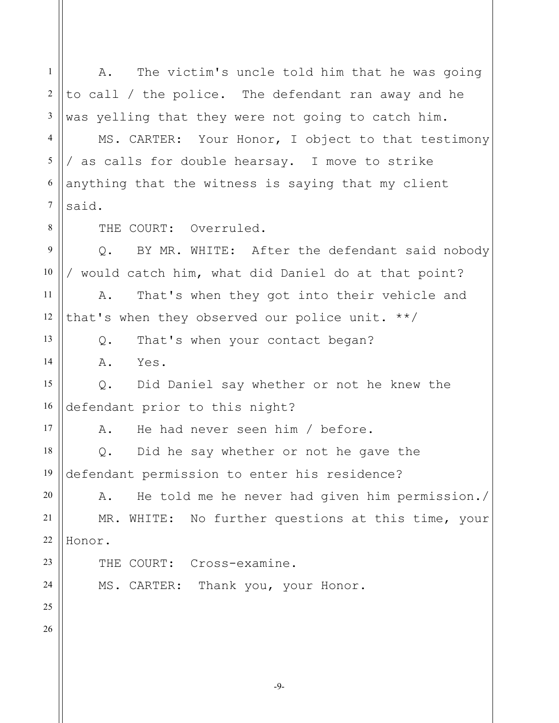1 2 3 4 5 6 7 8 9 10 11 12 13 14 15 16 17 18 19 20 21 22 23 24 25 26 A. The victim's uncle told him that he was going to call / the police. The defendant ran away and he was yelling that they were not going to catch him. MS. CARTER: Your Honor, I object to that testimony / as calls for double hearsay. I move to strike anything that the witness is saying that my client said. THE COURT: Overruled. Q. BY MR. WHITE: After the defendant said nobody / would catch him, what did Daniel do at that point? A. That's when they got into their vehicle and that's when they observed our police unit. \*\*/ Q. That's when your contact began? A. Yes. Q. Did Daniel say whether or not he knew the defendant prior to this night? A. He had never seen him / before. Q. Did he say whether or not he gave the defendant permission to enter his residence? A. He told me he never had given him permission./ MR. WHITE: No further questions at this time, your Honor. THE COURT: Cross-examine. MS. CARTER: Thank you, your Honor.

-9-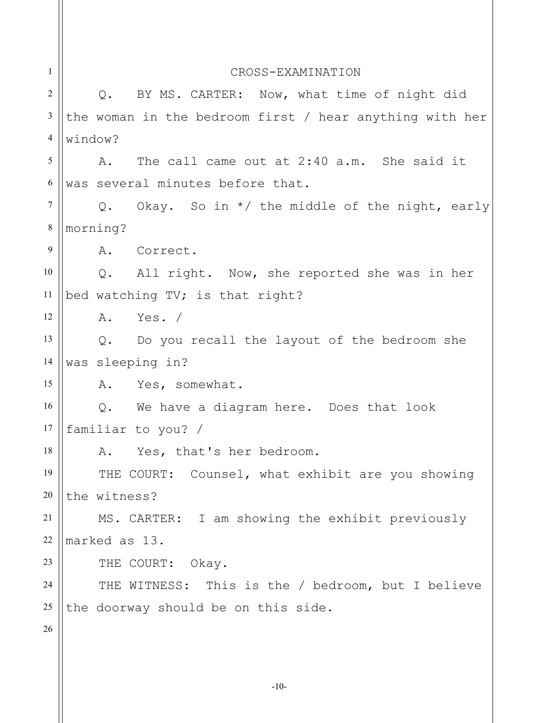| $\mathbf{1}$   | CROSS-EXAMINATION                                       |
|----------------|---------------------------------------------------------|
| 2              | BY MS. CARTER: Now, what time of night did<br>$Q$ .     |
| 3              | the woman in the bedroom first / hear anything with her |
| 4              | window?                                                 |
| 5              | The call came out at 2:40 a.m. She said it<br>Α.        |
| 6              | was several minutes before that.                        |
| $\overline{7}$ | Q. Okay. So in */ the middle of the night, early        |
| $\,8\,$        | morning?                                                |
| 9              | A. Correct.                                             |
| 10             | Q. All right. Now, she reported she was in her          |
| 11             | bed watching TV; is that right?                         |
| 12             | A. Yes. /                                               |
| 13             | Do you recall the layout of the bedroom she<br>Q.       |
| 14             | was sleeping in?                                        |
| 15             | A. Yes, somewhat.                                       |
| 16             | We have a diagram here. Does that look<br>$Q$ .         |
| 17             | familiar to you? /                                      |
| 18             | A. Yes, that's her bedroom.                             |
| 19             | THE COURT: Counsel, what exhibit are you showing        |
| 20             | the witness?                                            |
| 21             | MS. CARTER: I am showing the exhibit previously         |
| 22             | marked as 13.                                           |
| 23             | THE COURT: Okay.                                        |
| 24             | THE WITNESS: This is the / bedroom, but I believe       |
| 25             | the doorway should be on this side.                     |
| 26             |                                                         |
|                |                                                         |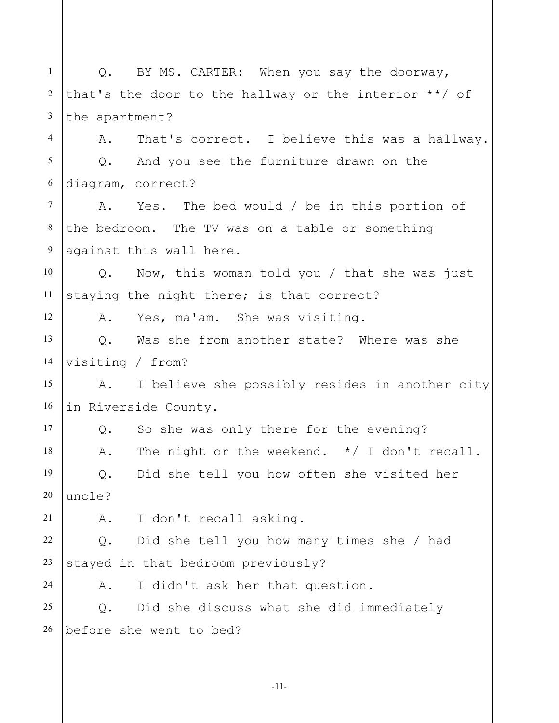1 2 3 4 5 6 7 8 9 10 11 12 13 14 15 16 17 18 19 20 21 22 23 24 25 26 Q. BY MS. CARTER: When you say the doorway, that's the door to the hallway or the interior \*\*/ of the apartment? A. That's correct. I believe this was a hallway. Q. And you see the furniture drawn on the diagram, correct? A. Yes. The bed would / be in this portion of the bedroom. The TV was on a table or something against this wall here. Q. Now, this woman told you / that she was just staying the night there; is that correct? A. Yes, ma'am. She was visiting. Q. Was she from another state? Where was she visiting / from? A. I believe she possibly resides in another city in Riverside County. Q. So she was only there for the evening? A. The night or the weekend. \*/ I don't recall. Q. Did she tell you how often she visited her uncle? A. I don't recall asking. Q. Did she tell you how many times she / had stayed in that bedroom previously? A. I didn't ask her that question. Q. Did she discuss what she did immediately before she went to bed?

-11-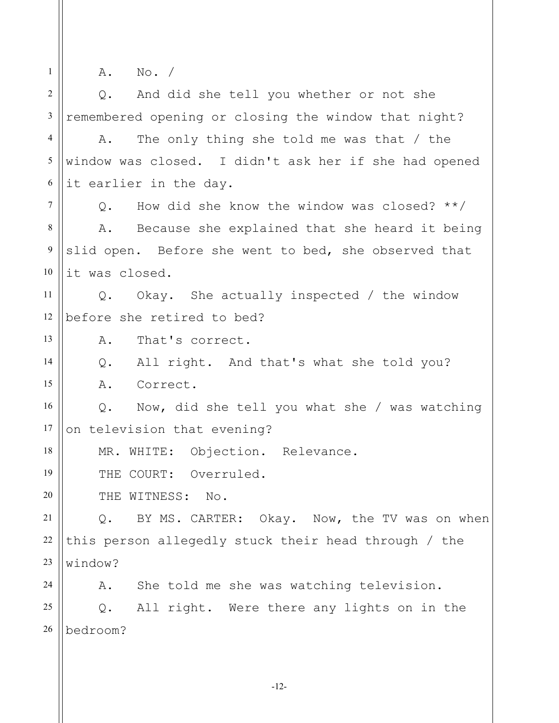1 2 3 4 5 6 7 8 9 10 11 12 13 14 15 16 17 18 19 20 21 22 23 24 25 26 A. No. / Q. And did she tell you whether or not she remembered opening or closing the window that night? A. The only thing she told me was that / the window was closed. I didn't ask her if she had opened it earlier in the day. Q. How did she know the window was closed? \*\*/ A. Because she explained that she heard it being slid open. Before she went to bed, she observed that it was closed. Q. Okay. She actually inspected / the window before she retired to bed? A. That's correct. Q. All right. And that's what she told you? A. Correct. Q. Now, did she tell you what she / was watching on television that evening? MR. WHITE: Objection. Relevance. THE COURT: Overruled. THE WITNESS: No. Q. BY MS. CARTER: Okay. Now, the TV was on when this person allegedly stuck their head through / the window? A. She told me she was watching television. Q. All right. Were there any lights on in the bedroom?

-12-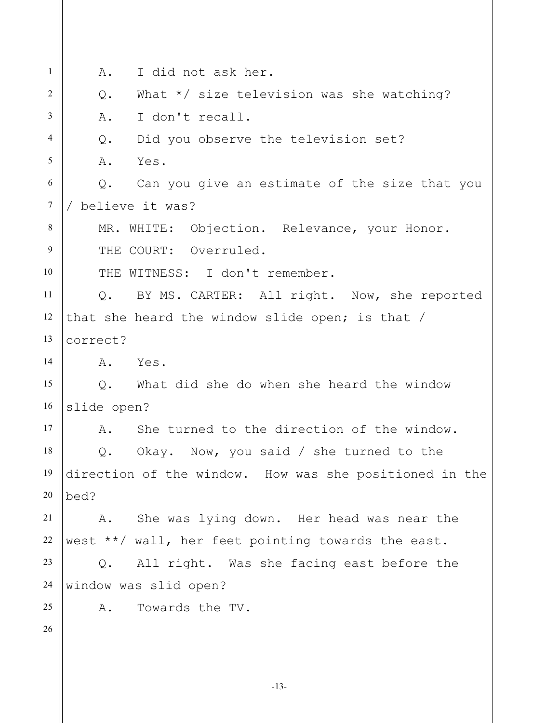| 1              | I did not ask her.<br>Α.                               |
|----------------|--------------------------------------------------------|
| 2              | What $*/$ size television was she watching?<br>Q.      |
| 3              | I don't recall.<br>Α.                                  |
| $\overline{4}$ | Did you observe the television set?<br>Q.              |
| 5              | Yes.<br>Α.                                             |
| 6              | Can you give an estimate of the size that you<br>Q.    |
| $\tau$         | believe it was?                                        |
| 8              | MR. WHITE: Objection. Relevance, your Honor.           |
| 9              | THE COURT: Overruled.                                  |
| 10             | THE WITNESS: I don't remember.                         |
| 11             | Q. BY MS. CARTER: All right. Now, she reported         |
| 12             | that she heard the window slide open; is that /        |
| 13             | correct?                                               |
| 14             | Yes.<br>Α.                                             |
| 15             | What did she do when she heard the window<br>$Q$ .     |
| 16             | slide open?                                            |
| 17             | She turned to the direction of the window.<br>Α.       |
| 18             | Q. Okay. Now, you said / she turned to the             |
| 19             | direction of the window. How was she positioned in the |
| 20             | bed?                                                   |
| 21             | She was lying down. Her head was near the<br>A.        |
| 22             | west **/ wall, her feet pointing towards the east.     |
| 23             | All right. Was she facing east before the<br>Q.        |
| 24             | window was slid open?                                  |
| 25             | Towards the TV.<br>Α.                                  |
| 26             |                                                        |
|                |                                                        |
|                |                                                        |

-13-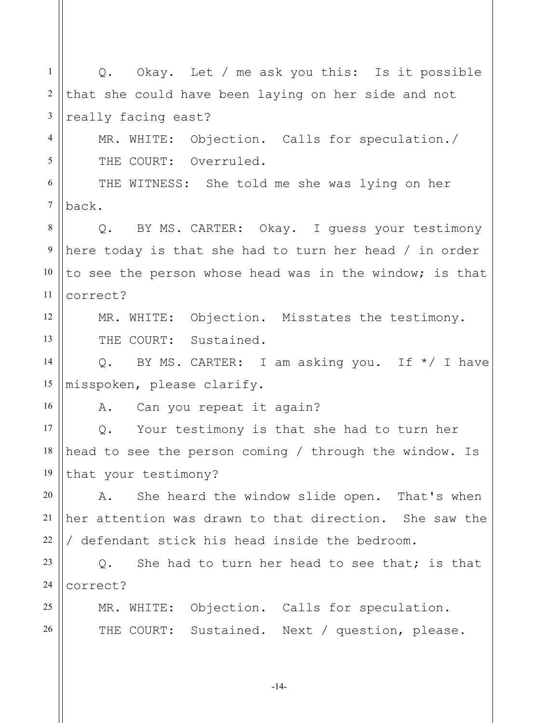1 2 3 4 5 6 7 8 9 10 11 12 13 14 15 16 17 18 19 20 21 22 23 24 25 26 Q. Okay. Let / me ask you this: Is it possible that she could have been laying on her side and not really facing east? MR. WHITE: Objection. Calls for speculation./ THE COURT: Overruled. THE WITNESS: She told me she was lying on her back. Q. BY MS. CARTER: Okay. I guess your testimony here today is that she had to turn her head / in order to see the person whose head was in the window; is that correct? MR. WHITE: Objection. Misstates the testimony. THE COURT: Sustained. Q. BY MS. CARTER: I am asking you. If \*/ I have misspoken, please clarify. A. Can you repeat it again? Q. Your testimony is that she had to turn her head to see the person coming / through the window. Is that your testimony? A. She heard the window slide open. That's when her attention was drawn to that direction. She saw the / defendant stick his head inside the bedroom. Q. She had to turn her head to see that; is that correct? MR. WHITE: Objection. Calls for speculation. THE COURT: Sustained. Next / question, please.

-14-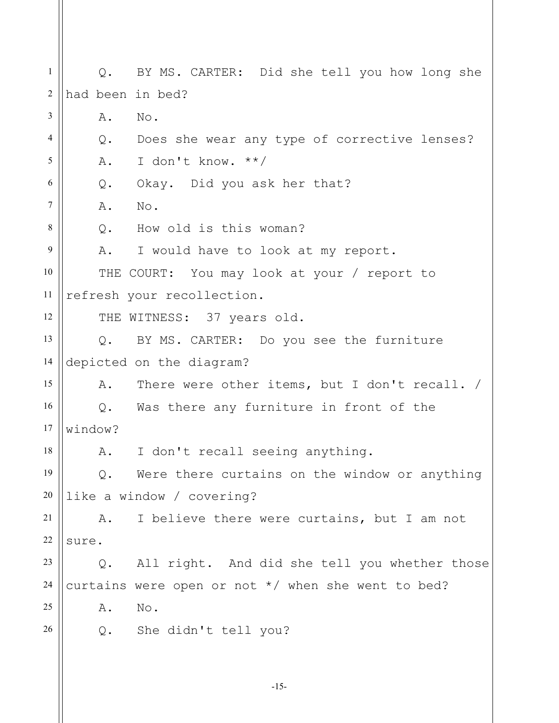1 2 3 4 5 6 7 8 9 10 11 12 13 14 15 16 17 18 19 20 21 22 23 24 25 26 Q. BY MS. CARTER: Did she tell you how long she had been in bed? A. No. Q. Does she wear any type of corrective lenses? A. I don't know. \*\*/ Q. Okay. Did you ask her that? A. No. Q. How old is this woman? A. I would have to look at my report. THE COURT: You may look at your / report to refresh your recollection. THE WITNESS: 37 years old. Q. BY MS. CARTER: Do you see the furniture depicted on the diagram? A. There were other items, but I don't recall. / Q. Was there any furniture in front of the window? A. I don't recall seeing anything. Q. Were there curtains on the window or anything like a window / covering? A. I believe there were curtains, but I am not sure. Q. All right. And did she tell you whether those curtains were open or not \*/ when she went to bed? A. No. Q. She didn't tell you?

-15-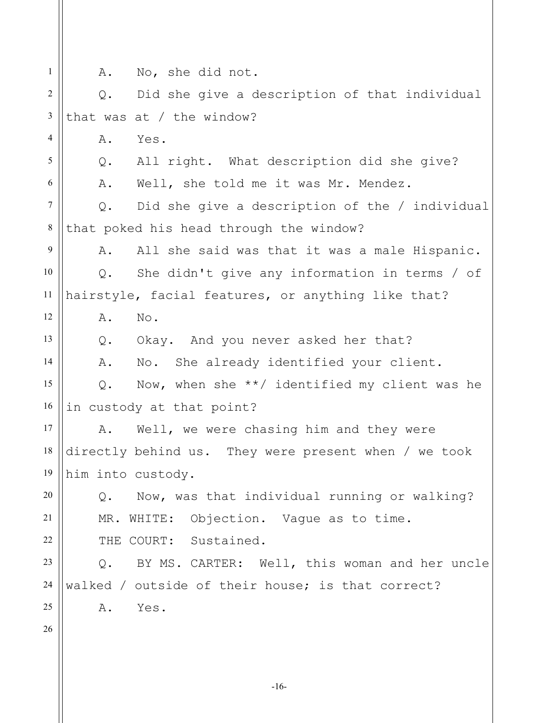1

4

5

6

12

13

14

A. No, she did not.

2 3 Q. Did she give a description of that individual that was at / the window?

A. Yes.

Q. All right. What description did she give?

A. Well, she told me it was Mr. Mendez.

7 8 Q. Did she give a description of the / individual that poked his head through the window?

9 10 11 A. All she said was that it was a male Hispanic. Q. She didn't give any information in terms / of hairstyle, facial features, or anything like that?

A. No.

Q. Okay. And you never asked her that?

A. No. She already identified your client.

15 16 Q. Now, when she \*\*/ identified my client was he in custody at that point?

17 18 19 A. Well, we were chasing him and they were directly behind us. They were present when / we took him into custody.

Q. Now, was that individual running or walking? MR. WHITE: Objection. Vague as to time.

THE COURT: Sustained.

23 24 25 Q. BY MS. CARTER: Well, this woman and her uncle walked / outside of their house; is that correct? A. Yes.

26

20

21

22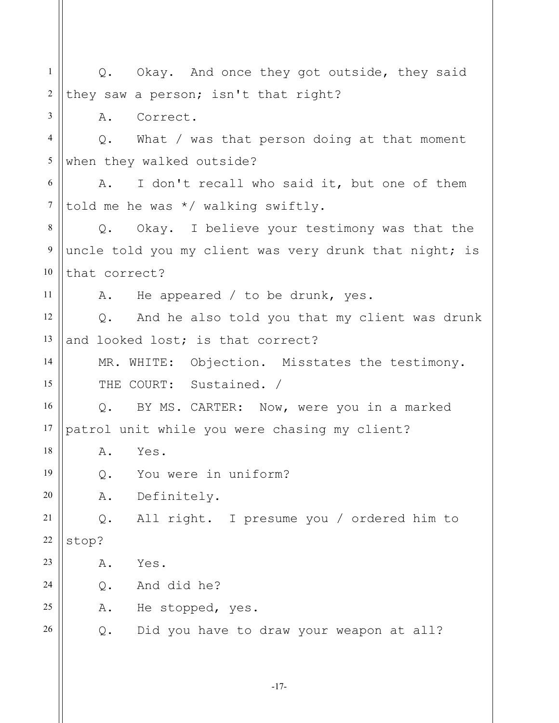| 1                | Q. Okay. And once they got outside, they said                |
|------------------|--------------------------------------------------------------|
| $\sqrt{2}$       | they saw a person; isn't that right?                         |
| 3                | Correct.<br>Α.                                               |
| $\overline{4}$   | What / was that person doing at that moment<br>$Q_{\bullet}$ |
| 5                | when they walked outside?                                    |
| 6                | A. I don't recall who said it, but one of them               |
| $\tau$           | told me he was */ walking swiftly.                           |
| 8                | Q. Okay. I believe your testimony was that the               |
| $\boldsymbol{9}$ | uncle told you my client was very drunk that night; is       |
| 10               | that correct?                                                |
| 11               | A. He appeared / to be drunk, yes.                           |
| 12               | Q. And he also told you that my client was drunk             |
| 13               | and looked lost; is that correct?                            |
| 14               | MR. WHITE: Objection. Misstates the testimony.               |
| 15               | THE COURT: Sustained. /                                      |
| 16               | Q. BY MS. CARTER: Now, were you in a marked                  |
| 17               | patrol unit while you were chasing my client?                |
| 18               | Α.<br>Yes.                                                   |
| 19               | You were in uniform?<br>$Q$ .                                |
| 20               | ${\tt A}$ .<br>Definitely.                                   |
| 21               | All right. I presume you / ordered him to<br>Q.              |
| 22               | stop?                                                        |
| 23               | Yes.<br>Α.                                                   |
| 24               | And did he?<br>$\mathsf{Q}$ .                                |
| 25               | Α.<br>He stopped, yes.                                       |
| 26               | $Q$ .<br>Did you have to draw your weapon at all?            |
|                  |                                                              |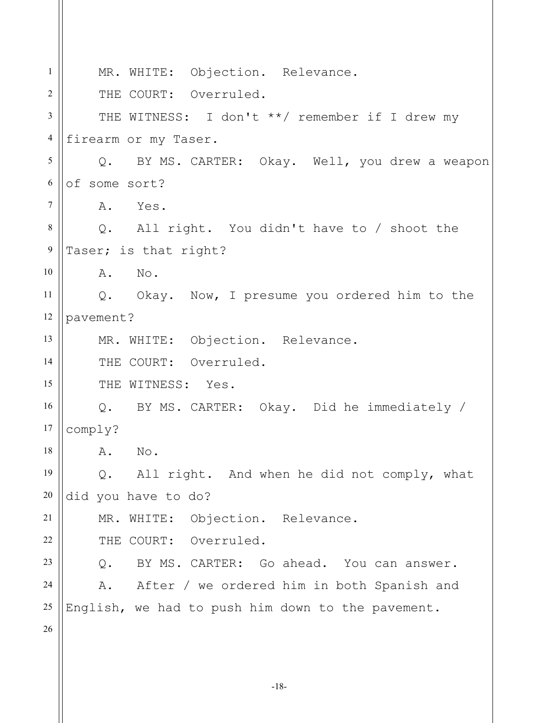| $\mathbf{1}$     | MR. WHITE: Objection. Relevance.                  |
|------------------|---------------------------------------------------|
| $\overline{2}$   | THE COURT: Overruled.                             |
| $\overline{3}$   | THE WITNESS: I don't **/ remember if I drew my    |
| $\overline{4}$   | firearm or my Taser.                              |
| 5                | Q. BY MS. CARTER: Okay. Well, you drew a weapon   |
| 6                | of some sort?                                     |
| $\overline{7}$   | A. Yes.                                           |
| 8                | Q. All right. You didn't have to / shoot the      |
| $\boldsymbol{9}$ | Taser; is that right?                             |
| 10               | A. No.                                            |
| 11               | Q. Okay. Now, I presume you ordered him to the    |
| 12               | pavement?                                         |
| 13               | MR. WHITE: Objection. Relevance.                  |
| 14               | THE COURT: Overruled.                             |
| 15               | THE WITNESS: Yes.                                 |
| 16               | Q. BY MS. CARTER: Okay. Did he immediately /      |
| 17               | comply?                                           |
| 18               | A. No                                             |
| 19               | All right. And when he did not comply, what<br>Q. |
| 20               | did you have to do?                               |
| 21               | MR. WHITE: Objection. Relevance.                  |
| 22               | THE COURT: Overruled.                             |
| 23               | BY MS. CARTER: Go ahead. You can answer.<br>$Q$ . |
| 24               | A. After / we ordered him in both Spanish and     |
| 25               | English, we had to push him down to the pavement. |
| 26               |                                                   |
|                  |                                                   |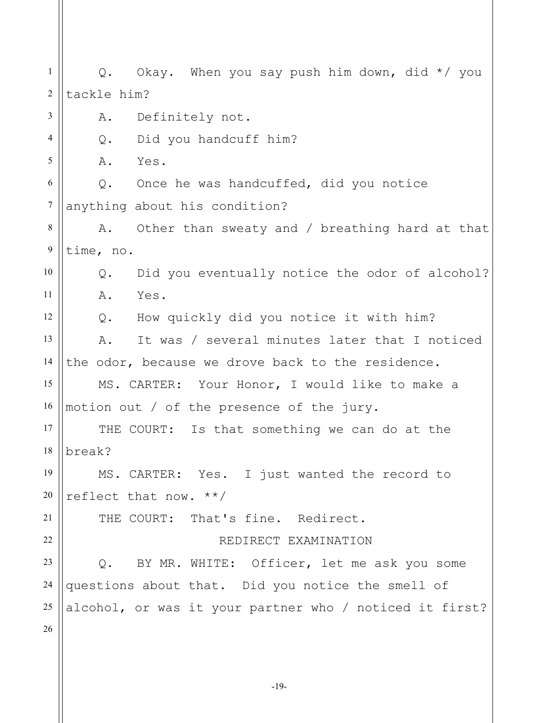1 2 3 4 5 6 7 8 9 10 11 12 13 14 15 16 17 18 19 20 21 22 23 24 25 26 Q. Okay. When you say push him down, did \*/ you tackle him? A. Definitely not. Q. Did you handcuff him? A. Yes. Q. Once he was handcuffed, did you notice anything about his condition? A. Other than sweaty and / breathing hard at that time, no. Q. Did you eventually notice the odor of alcohol? A. Yes. Q. How quickly did you notice it with him? A. It was / several minutes later that I noticed the odor, because we drove back to the residence. MS. CARTER: Your Honor, I would like to make a motion out / of the presence of the jury. THE COURT: Is that something we can do at the break? MS. CARTER: Yes. I just wanted the record to reflect that now. \*\*/ THE COURT: That's fine. Redirect. REDIRECT EXAMINATION Q. BY MR. WHITE: Officer, let me ask you some questions about that. Did you notice the smell of alcohol, or was it your partner who / noticed it first?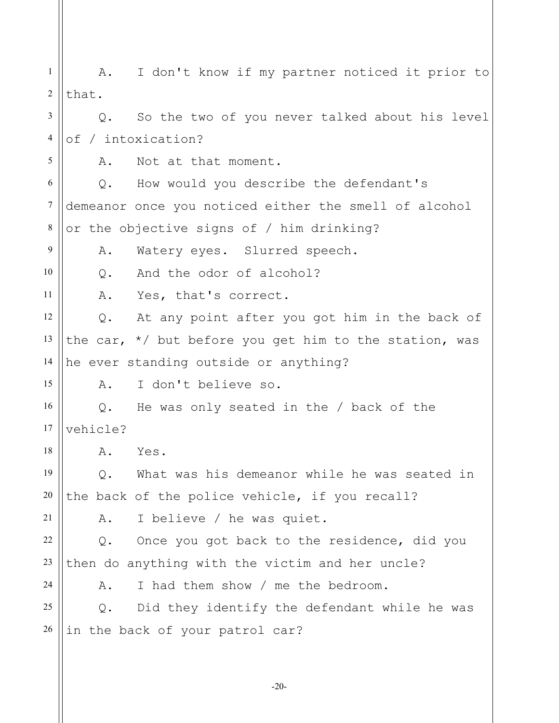1 2 3 4 5 6 7 8 9 10 11 12 13 14 15 16 17 18 19 20 21 22 23 24 25 26 A. I don't know if my partner noticed it prior to that. Q. So the two of you never talked about his level of / intoxication? A. Not at that moment. Q. How would you describe the defendant's demeanor once you noticed either the smell of alcohol or the objective signs of / him drinking? A. Watery eyes. Slurred speech. Q. And the odor of alcohol? A. Yes, that's correct. Q. At any point after you got him in the back of the car,  $*/$  but before you get him to the station, was he ever standing outside or anything? A. I don't believe so. Q. He was only seated in the / back of the vehicle? A. Yes. Q. What was his demeanor while he was seated in the back of the police vehicle, if you recall? A. I believe / he was quiet. Q. Once you got back to the residence, did you then do anything with the victim and her uncle? A. I had them show / me the bedroom. Q. Did they identify the defendant while he was in the back of your patrol car?

-20-